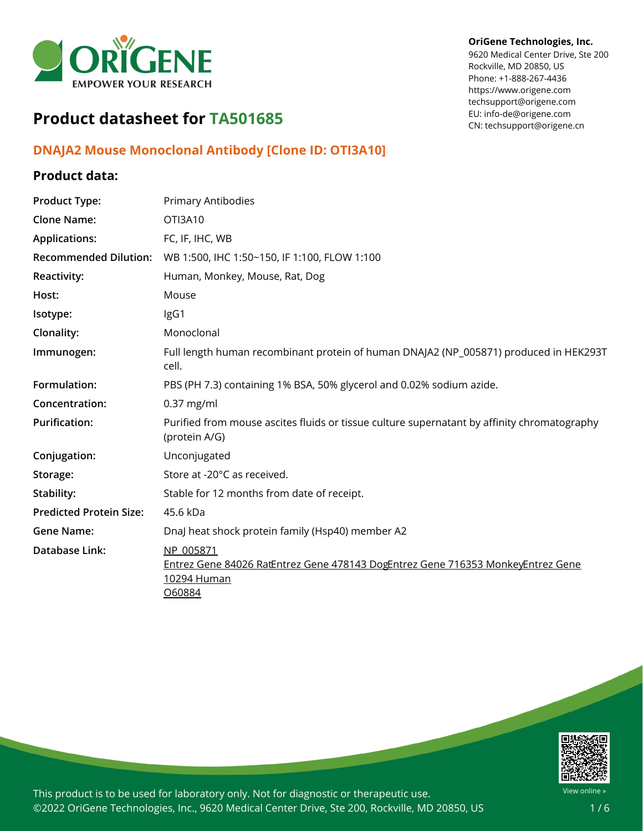

#### **OriGene Technologies, Inc.**

9620 Medical Center Drive, Ste 200 Rockville, MD 20850, US Phone: +1-888-267-4436 https://www.origene.com techsupport@origene.com EU: info-de@origene.com CN: techsupport@origene.cn

# **Product datasheet for TA501685**

### **DNAJA2 Mouse Monoclonal Antibody [Clone ID: OTI3A10]**

## **Product data:**

| <b>Product Type:</b>           | Primary Antibodies                                                                                                    |
|--------------------------------|-----------------------------------------------------------------------------------------------------------------------|
| <b>Clone Name:</b>             | OTI3A10                                                                                                               |
| <b>Applications:</b>           | FC, IF, IHC, WB                                                                                                       |
| <b>Recommended Dilution:</b>   | WB 1:500, IHC 1:50~150, IF 1:100, FLOW 1:100                                                                          |
| Reactivity:                    | Human, Monkey, Mouse, Rat, Dog                                                                                        |
| Host:                          | Mouse                                                                                                                 |
| Isotype:                       | IgG1                                                                                                                  |
| Clonality:                     | Monoclonal                                                                                                            |
| Immunogen:                     | Full length human recombinant protein of human DNAJA2 (NP_005871) produced in HEK293T<br>cell.                        |
| Formulation:                   | PBS (PH 7.3) containing 1% BSA, 50% glycerol and 0.02% sodium azide.                                                  |
| Concentration:                 | $0.37$ mg/ml                                                                                                          |
| <b>Purification:</b>           | Purified from mouse ascites fluids or tissue culture supernatant by affinity chromatography<br>(protein A/G)          |
| Conjugation:                   | Unconjugated                                                                                                          |
| Storage:                       | Store at -20°C as received.                                                                                           |
| Stability:                     | Stable for 12 months from date of receipt.                                                                            |
| <b>Predicted Protein Size:</b> | 45.6 kDa                                                                                                              |
| <b>Gene Name:</b>              | DnaJ heat shock protein family (Hsp40) member A2                                                                      |
| Database Link:                 | NP 005871<br>Entrez Gene 84026 RatEntrez Gene 478143 DogEntrez Gene 716353 MonkeyEntrez Gene<br>10294 Human<br>060884 |

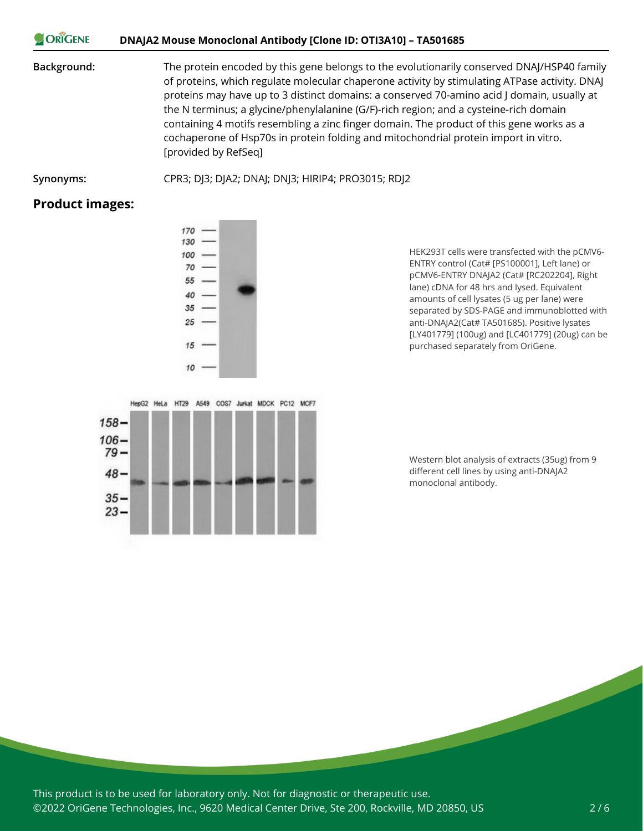#### ORIGENE **DNAJA2 Mouse Monoclonal Antibody [Clone ID: OTI3A10] – TA501685**

**Background:** The protein encoded by this gene belongs to the evolutionarily conserved DNAJ/HSP40 family of proteins, which regulate molecular chaperone activity by stimulating ATPase activity. DNAJ proteins may have up to 3 distinct domains: a conserved 70-amino acid J domain, usually at the N terminus; a glycine/phenylalanine (G/F)-rich region; and a cysteine-rich domain containing 4 motifs resembling a zinc finger domain. The product of this gene works as a cochaperone of Hsp70s in protein folding and mitochondrial protein import in vitro. [provided by RefSeq]

**Synonyms:** CPR3; DJ3; DJA2; DNAJ; DNJ3; HIRIP4; PRO3015; RDJ2

#### **Product images:**

HEK293T cells were transfected with the pCMV6- ENTRY control (Cat# [PS100001], Left lane) or pCMV6-ENTRY DNAJA2 (Cat# [RC202204], Right lane) cDNA for 48 hrs and lysed. Equivalent amounts of cell lysates (5 ug per lane) were separated by SDS-PAGE and immunoblotted with anti-DNAJA2(Cat# TA501685). Positive lysates [LY401779] (100ug) and [LC401779] (20ug) can be purchased separately from OriGene.



Western blot analysis of extracts (35ug) from 9 different cell lines by using anti-DNAJA2 monoclonal antibody.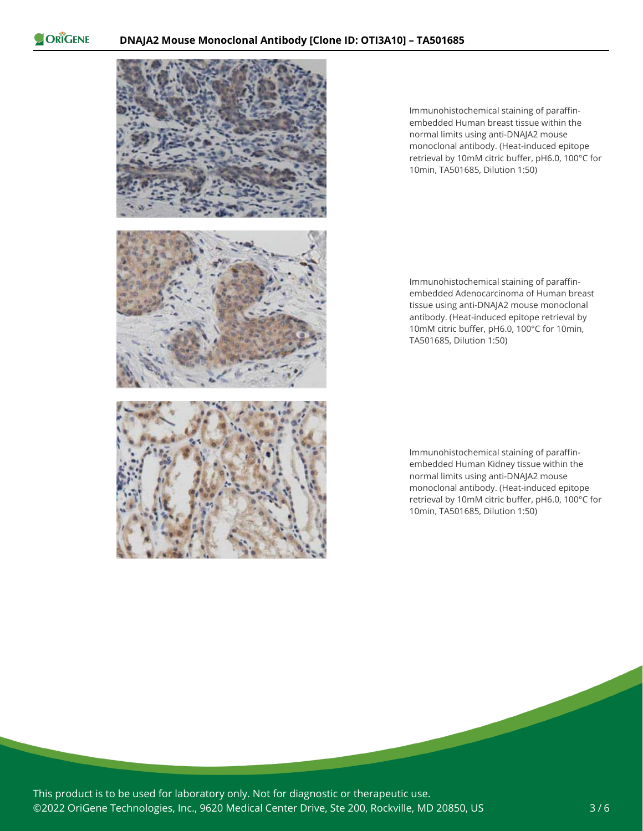

Immunohistochemical staining of paraffinembedded Human breast tissue within the normal limits using anti-DNAJA2 mouse monoclonal antibody. (Heat-induced epitope retrieval by 10mM citric buffer, pH6.0, 100°C for 10min, TA501685, Dilution 1:50)

Immunohistochemical staining of paraffinembedded Adenocarcinoma of Human breast tissue using anti-DNAJA2 mouse monoclonal antibody. (Heat-induced epitope retrieval by 10mM citric buffer, pH6.0, 100°C for 10min, TA501685, Dilution 1:50)

Immunohistochemical staining of paraffinembedded Human Kidney tissue within the normal limits using anti-DNAJA2 mouse monoclonal antibody. (Heat-induced epitope retrieval by 10mM citric buffer, pH6.0, 100°C for 10min, TA501685, Dilution 1:50)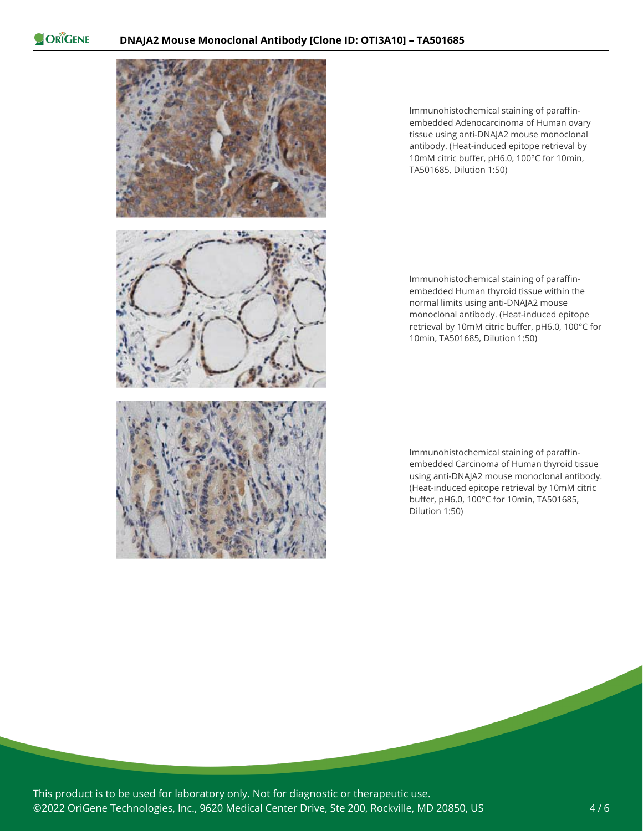

Immunohistochemical staining of paraffinembedded Adenocarcinoma of Human ovary tissue using anti-DNAJA2 mouse monoclonal antibody. (Heat-induced epitope retrieval by 10mM citric buffer, pH6.0, 100°C for 10min, TA501685, Dilution 1:50)

Immunohistochemical staining of paraffinembedded Human thyroid tissue within the normal limits using anti-DNAJA2 mouse monoclonal antibody. (Heat-induced epitope retrieval by 10mM citric buffer, pH6.0, 100°C for 10min, TA501685, Dilution 1:50)

Immunohistochemical staining of paraffinembedded Carcinoma of Human thyroid tissue using anti-DNAJA2 mouse monoclonal antibody. (Heat-induced epitope retrieval by 10mM citric buffer, pH6.0, 100°C for 10min, TA501685, Dilution 1:50)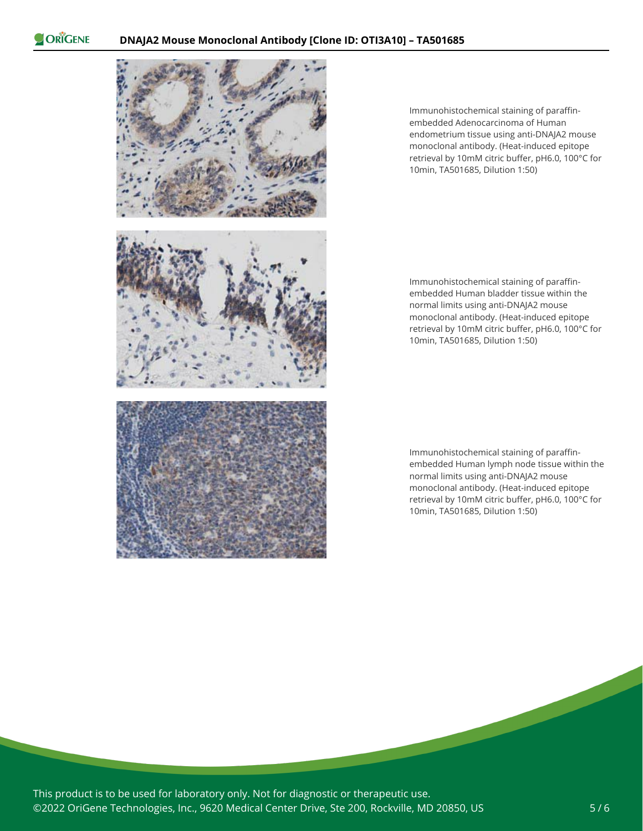

Immunohistochemical staining of paraffinembedded Adenocarcinoma of Human endometrium tissue using anti-DNAJA2 mouse monoclonal antibody. (Heat-induced epitope retrieval by 10mM citric buffer, pH6.0, 100°C for 10min, TA501685, Dilution 1:50)

Immunohistochemical staining of paraffinembedded Human bladder tissue within the normal limits using anti-DNAJA2 mouse monoclonal antibody. (Heat-induced epitope retrieval by 10mM citric buffer, pH6.0, 100°C for 10min, TA501685, Dilution 1:50)

Immunohistochemical staining of paraffinembedded Human lymph node tissue within the normal limits using anti-DNAJA2 mouse monoclonal antibody. (Heat-induced epitope retrieval by 10mM citric buffer, pH6.0, 100°C for 10min, TA501685, Dilution 1:50)